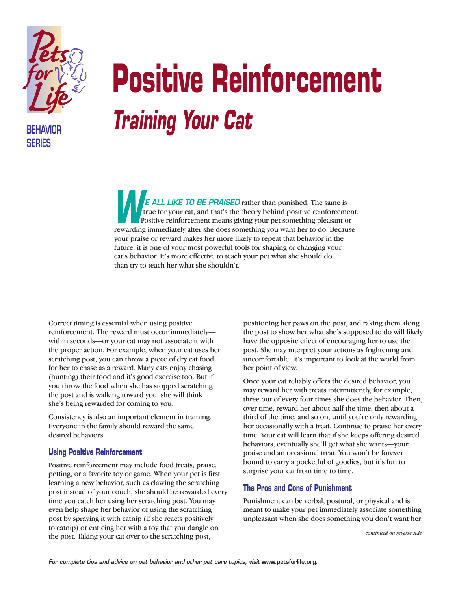

**BEHAVIOR SERIES**

## **Positive Reinforcement** *Training Your Cat*

*E ALL LIKE TO BE PRAISED* rather than punished. The same is true for your cat, and that's the theory behind positive reinforcement. Positive reinforcement means giving your pet something pleasant or **PEREL LINE TO BE PHAISED** Tattier than punished. The same is<br>
Positive reinforcement means giving your pet something pleasant or<br>
rewarding immediately after she does something you want her to do. Because your praise or reward makes her more likely to repeat that behavior in the future, it is one of your most powerful tools for shaping or changing your cat's behavior. It's more effective to teach your pet what she should do than try to teach her what she shouldn't.

Correct timing is essential when using positive reinforcement. The reward must occur immediately within seconds—or your cat may not associate it with the proper action. For example, when your cat uses her scratching post, you can throw a piece of dry cat food for her to chase as a reward. Many cats enjoy chasing (hunting) their food and it's good exercise too. But if you throw the food when she has stopped scratching the post and is walking toward you, she will think she's being rewarded for coming to you.

Consistency is also an important element in training. Everyone in the family should reward the same desired behaviors.

## **Using Positive Reinforcement**

Positive reinforcement may include food treats, praise, petting, or a favorite toy or game. When your pet is first learning a new behavior, such as clawing the scratching post instead of your couch, she should be rewarded every time you catch her using her scratching post. You may even help shape her behavior of using the scratching post by spraying it with catnip (if she reacts positively to catnip) or enticing her with a toy that you dangle on the post. Taking your cat over to the scratching post,

positioning her paws on the post, and raking them along the post to show her what she's supposed to do will likely have the opposite effect of encouraging her to use the post. She may interpret your actions as frightening and uncomfortable. It's important to look at the world from her point of view.

Once your cat reliably offers the desired behavior, you may reward her with treats intermittently, for example, three out of every four times she does the behavior. Then, over time, reward her about half the time, then about a third of the time, and so on, until you're only rewarding her occasionally with a treat. Continue to praise her every time. Your cat will learn that if she keeps offering desired behaviors, eventually she'll get what she wants—your praise and an occasional treat. You won't be forever bound to carry a pocketful of goodies, but it's fun to surprise your cat from time to time.

## **The Pros and Cons of Punishment**

Punishment can be verbal, postural, or physical and is meant to make your pet immediately associate something unpleasant when she does something you don't want her

*continued on reverse side*